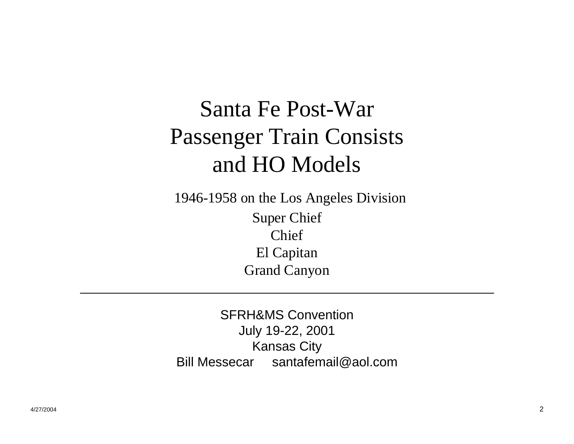# Santa Fe Post-War Passenger Train Consists and HO Models

1946-1958 on the Los Angeles Division Super Chief Chief El Capitan Grand Canyon

SFRH&MS ConventionJuly 19-22, 2001 Kansas City Bill Messecar santafemail@aol.com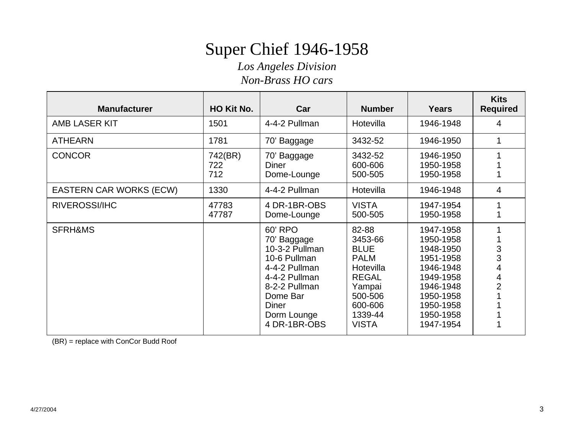# Super Chief 1946-1958

*Los Angeles Division*

*Non-Brass HO cars*

| <b>Manufacturer</b>            | HO Kit No.            | Car                                                                                                                                                                    | <b>Number</b>                                                                                                                          | <b>Years</b>                                                                                                                                | <b>Kits</b><br><b>Required</b>     |
|--------------------------------|-----------------------|------------------------------------------------------------------------------------------------------------------------------------------------------------------------|----------------------------------------------------------------------------------------------------------------------------------------|---------------------------------------------------------------------------------------------------------------------------------------------|------------------------------------|
| <b>AMB LASER KIT</b>           | 1501                  | 4-4-2 Pullman                                                                                                                                                          | Hotevilla                                                                                                                              | 1946-1948                                                                                                                                   | 4                                  |
| <b>ATHEARN</b>                 | 1781                  | 70' Baggage                                                                                                                                                            | 3432-52                                                                                                                                | 1946-1950                                                                                                                                   | 1                                  |
| <b>CONCOR</b>                  | 742(BR)<br>722<br>712 | 3432-52<br>70' Baggage<br><b>Diner</b><br>600-606<br>500-505<br>Dome-Lounge                                                                                            |                                                                                                                                        | 1946-1950<br>1950-1958<br>1950-1958                                                                                                         |                                    |
| <b>EASTERN CAR WORKS (ECW)</b> | 1330                  | 4-4-2 Pullman                                                                                                                                                          | Hotevilla                                                                                                                              | 1946-1948                                                                                                                                   | $\overline{4}$                     |
| RIVEROSSI/IHC                  | 47783<br>47787        | 4 DR-1BR-OBS<br>Dome-Lounge                                                                                                                                            | <b>VISTA</b><br>500-505                                                                                                                | 1947-1954<br>1950-1958                                                                                                                      |                                    |
| SFRH&MS                        |                       | 60' RPO<br>70' Baggage<br>10-3-2 Pullman<br>10-6 Pullman<br>4-4-2 Pullman<br>4-4-2 Pullman<br>8-2-2 Pullman<br>Dome Bar<br><b>Diner</b><br>Dorm Lounge<br>4 DR-1BR-OBS | 82-88<br>3453-66<br><b>BLUE</b><br><b>PALM</b><br>Hotevilla<br><b>REGAL</b><br>Yampai<br>500-506<br>600-606<br>1339-44<br><b>VISTA</b> | 1947-1958<br>1950-1958<br>1948-1950<br>1951-1958<br>1946-1948<br>1949-1958<br>1946-1948<br>1950-1958<br>1950-1958<br>1950-1958<br>1947-1954 | 3<br>3<br>4<br>4<br>$\overline{2}$ |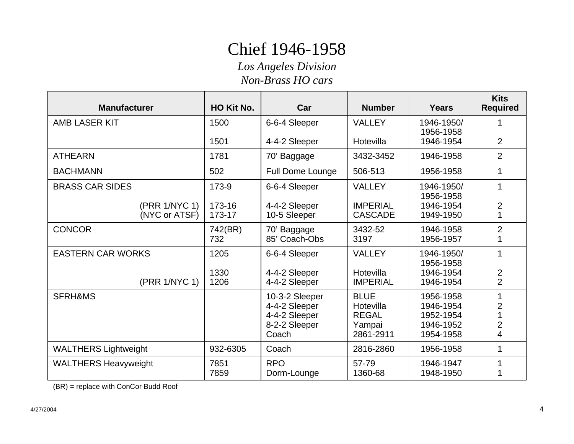# Chief 1946-1958

*Los Angeles Division*

*Non-Brass HO cars*

| <b>Manufacturer</b>            | HO Kit No.       | Car                                                                        | <b>Number</b>                                                   | <b>Years</b>                                                  | <b>Kits</b><br><b>Required</b>        |
|--------------------------------|------------------|----------------------------------------------------------------------------|-----------------------------------------------------------------|---------------------------------------------------------------|---------------------------------------|
| <b>AMB LASER KIT</b>           | 1500             | 6-6-4 Sleeper                                                              | <b>VALLEY</b>                                                   | 1946-1950/<br>1956-1958                                       |                                       |
|                                | 1501             | 4-4-2 Sleeper                                                              | Hotevilla                                                       | 1946-1954                                                     | 2                                     |
| <b>ATHEARN</b>                 | 1781             | 70' Baggage                                                                | 3432-3452                                                       | 1946-1958                                                     | $\overline{2}$                        |
| <b>BACHMANN</b>                | 502              | <b>Full Dome Lounge</b>                                                    | 506-513                                                         | 1956-1958                                                     | 1                                     |
| <b>BRASS CAR SIDES</b>         | 173-9            | 6-6-4 Sleeper                                                              | <b>VALLEY</b>                                                   | 1946-1950/<br>1956-1958                                       | 1                                     |
| (PRR 1/NYC 1)<br>(NYC or ATSF) | 173-16<br>173-17 | 4-4-2 Sleeper<br>10-5 Sleeper                                              | <b>IMPERIAL</b><br><b>CASCADE</b>                               | 1946-1954<br>1949-1950                                        | $\overline{2}$<br>1                   |
| <b>CONCOR</b>                  | 742(BR)<br>732   | 70' Baggage<br>85' Coach-Obs                                               | 3432-52<br>3197                                                 | 1946-1958<br>1956-1957                                        | $\overline{2}$<br>1                   |
| <b>EASTERN CAR WORKS</b>       | 1205             | 6-6-4 Sleeper                                                              | <b>VALLEY</b>                                                   | 1946-1950/<br>1956-1958                                       | 1                                     |
| (PRR 1/NYC 1)                  | 1330<br>1206     | 4-4-2 Sleeper<br>4-4-2 Sleeper                                             | Hotevilla<br><b>IMPERIAL</b>                                    | 1946-1954<br>1946-1954                                        | $\overline{c}$<br>$\overline{2}$      |
| <b>SFRH&amp;MS</b>             |                  | 10-3-2 Sleeper<br>4-4-2 Sleeper<br>4-4-2 Sleeper<br>8-2-2 Sleeper<br>Coach | <b>BLUE</b><br>Hotevilla<br><b>REGAL</b><br>Yampai<br>2861-2911 | 1956-1958<br>1946-1954<br>1952-1954<br>1946-1952<br>1954-1958 | $\overline{2}$<br>$\overline{2}$<br>4 |
| <b>WALTHERS Lightweight</b>    | 932-6305         | Coach                                                                      | 2816-2860                                                       | 1956-1958                                                     | 1                                     |
| <b>WALTHERS Heavyweight</b>    | 7851<br>7859     | <b>RPO</b><br>Dorm-Lounge                                                  | 57-79<br>1360-68                                                | 1946-1947<br>1948-1950                                        |                                       |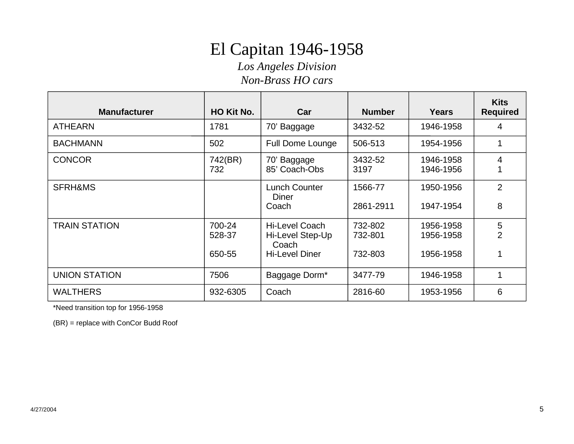# El Capitan 1946-1958

*Los Angeles Division*

*Non-Brass HO cars*

| <b>Manufacturer</b>  | HO Kit No.                 | Car                                                                         | <b>Number</b>                 | Years                               | <b>Kits</b><br><b>Required</b> |
|----------------------|----------------------------|-----------------------------------------------------------------------------|-------------------------------|-------------------------------------|--------------------------------|
| <b>ATHEARN</b>       | 1781                       | 70' Baggage                                                                 | 3432-52                       | 1946-1958                           | 4                              |
| <b>BACHMANN</b>      | 502                        | <b>Full Dome Lounge</b>                                                     | 506-513                       | 1954-1956                           | 1                              |
| <b>CONCOR</b>        | 742(BR)<br>732             | Baggage<br>70'<br>85' Coach-Obs                                             | 3432-52<br>3197               | 1946-1958<br>1946-1956              | 4                              |
| <b>SFRH&amp;MS</b>   |                            | <b>Lunch Counter</b><br>Diner<br>Coach                                      | 1566-77<br>2861-2911          | 1950-1956<br>1947-1954              | $\overline{2}$<br>8            |
| <b>TRAIN STATION</b> | 700-24<br>528-37<br>650-55 | <b>Hi-Level Coach</b><br>Hi-Level Step-Up<br>Coach<br><b>Hi-Level Diner</b> | 732-802<br>732-801<br>732-803 | 1956-1958<br>1956-1958<br>1956-1958 | 5<br>$\overline{2}$            |
| <b>UNION STATION</b> | 7506                       | Baggage Dorm*                                                               | 3477-79                       | 1946-1958                           |                                |
| <b>WALTHERS</b>      | 932-6305                   | Coach                                                                       | 2816-60                       | 1953-1956                           | 6                              |

\*Need transition top for 1956-1958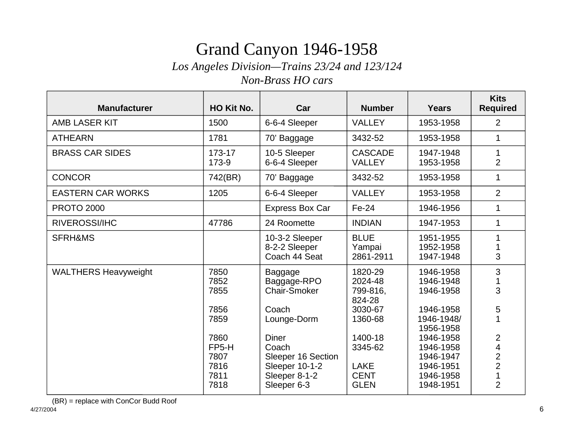# Grand Canyon 1946-1958

*Los Angeles Division—Trains 23/24 and 123/124*

*Non-Brass HO cars*

| <b>Manufacturer</b>         | HO Kit No.                                                                                         | Car                                                                                                                                                                           | <b>Number</b>                                                                                                                     | <b>Years</b>                                                                                                                                              | <b>Kits</b><br><b>Required</b>                                                   |
|-----------------------------|----------------------------------------------------------------------------------------------------|-------------------------------------------------------------------------------------------------------------------------------------------------------------------------------|-----------------------------------------------------------------------------------------------------------------------------------|-----------------------------------------------------------------------------------------------------------------------------------------------------------|----------------------------------------------------------------------------------|
| <b>AMB LASER KIT</b>        | 1500                                                                                               | 6-6-4 Sleeper                                                                                                                                                                 | <b>VALLEY</b>                                                                                                                     | 1953-1958                                                                                                                                                 | 2                                                                                |
| <b>ATHEARN</b>              | 1781                                                                                               | 70' Baggage                                                                                                                                                                   | 3432-52                                                                                                                           | 1953-1958                                                                                                                                                 | 1                                                                                |
| <b>BRASS CAR SIDES</b>      | 173-17<br>173-9                                                                                    | 10-5 Sleeper<br>6-6-4 Sleeper                                                                                                                                                 | <b>CASCADE</b><br><b>VALLEY</b>                                                                                                   | 1947-1948<br>1953-1958                                                                                                                                    | 1<br>$\overline{2}$                                                              |
| <b>CONCOR</b>               | 742(BR)                                                                                            | 70' Baggage                                                                                                                                                                   | 3432-52                                                                                                                           | 1953-1958                                                                                                                                                 | $\mathbf 1$                                                                      |
| <b>EASTERN CAR WORKS</b>    | 1205                                                                                               | 6-6-4 Sleeper                                                                                                                                                                 | <b>VALLEY</b>                                                                                                                     | 1953-1958                                                                                                                                                 | $\overline{2}$                                                                   |
| <b>PROTO 2000</b>           |                                                                                                    | Express Box Car                                                                                                                                                               | Fe-24                                                                                                                             | 1946-1956                                                                                                                                                 | 1                                                                                |
| <b>RIVEROSSI/IHC</b>        | 47786                                                                                              | 24 Roomette                                                                                                                                                                   | <b>INDIAN</b>                                                                                                                     | 1947-1953                                                                                                                                                 | 1                                                                                |
| SFRH&MS                     |                                                                                                    | 10-3-2 Sleeper<br>8-2-2 Sleeper<br>Coach 44 Seat                                                                                                                              | <b>BLUE</b><br>Yampai<br>2861-2911                                                                                                | 1951-1955<br>1952-1958<br>1947-1948                                                                                                                       | 3                                                                                |
| <b>WALTHERS Heavyweight</b> | 7850<br>7852<br>7855<br>7856<br>7859<br>7860<br>FP <sub>5</sub> -H<br>7807<br>7816<br>7811<br>7818 | Baggage<br>Baggage-RPO<br><b>Chair-Smoker</b><br>Coach<br>Lounge-Dorm<br><b>Diner</b><br>Coach<br>Sleeper 16 Section<br><b>Sleeper 10-1-2</b><br>Sleeper 8-1-2<br>Sleeper 6-3 | 1820-29<br>2024-48<br>799-816,<br>824-28<br>3030-67<br>1360-68<br>1400-18<br>3345-62<br><b>LAKE</b><br><b>CENT</b><br><b>GLEN</b> | 1946-1958<br>1946-1948<br>1946-1958<br>1946-1958<br>1946-1948/<br>1956-1958<br>1946-1958<br>1946-1958<br>1946-1947<br>1946-1951<br>1946-1958<br>1948-1951 | 3<br>3<br>5<br>1<br>2<br>4<br>$\overline{2}$<br>$\overline{2}$<br>$\overline{2}$ |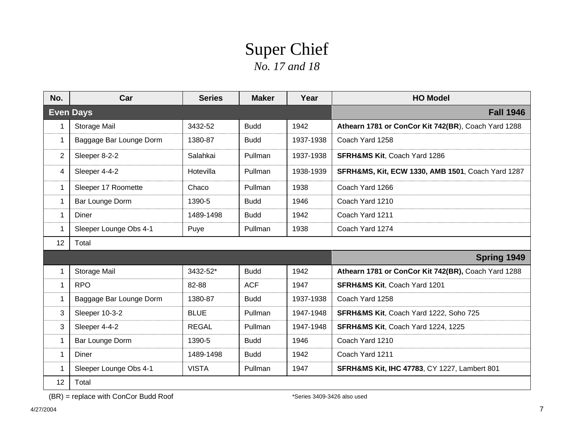## Super Chief *No. 17 and 18*

| No.         | Car                     | <b>Series</b> | <b>Maker</b> | Year      | <b>HO Model</b>                                              |
|-------------|-------------------------|---------------|--------------|-----------|--------------------------------------------------------------|
|             | <b>Even Days</b>        |               |              |           | <b>Fall 1946</b>                                             |
| 1           | Storage Mail            | 3432-52       | <b>Budd</b>  | 1942      | Athearn 1781 or ConCor Kit 742(BR), Coach Yard 1288          |
| 1           | Baggage Bar Lounge Dorm | 1380-87       | <b>Budd</b>  | 1937-1938 | Coach Yard 1258                                              |
| 2           | Sleeper 8-2-2           | Salahkai      | Pullman      | 1937-1938 | <b>SFRH&amp;MS Kit, Coach Yard 1286</b>                      |
| 4           | Sleeper 4-4-2           | Hotevilla     | Pullman      | 1938-1939 | <b>SFRH&amp;MS, Kit, ECW 1330, AMB 1501, Coach Yard 1287</b> |
| 1           | Sleeper 17 Roomette     | Chaco         | Pullman      | 1938      | Coach Yard 1266                                              |
| 1           | Bar Lounge Dorm         | 1390-5        | <b>Budd</b>  | 1946      | Coach Yard 1210                                              |
| 1           | Diner                   | 1489-1498     | <b>Budd</b>  | 1942      | Coach Yard 1211                                              |
| 1.          | Sleeper Lounge Obs 4-1  | Puye          | Pullman      | 1938      | Coach Yard 1274                                              |
| 12          | Total                   |               |              |           |                                                              |
|             |                         |               |              |           | Spring 1949                                                  |
| 1           | Storage Mail            | 3432-52*      | <b>Budd</b>  | 1942      | Athearn 1781 or ConCor Kit 742(BR), Coach Yard 1288          |
| $\mathbf 1$ | <b>RPO</b>              | 82-88         | <b>ACF</b>   | 1947      | <b>SFRH&amp;MS Kit, Coach Yard 1201</b>                      |
| $\mathbf 1$ | Baggage Bar Lounge Dorm | 1380-87       | <b>Budd</b>  | 1937-1938 | Coach Yard 1258                                              |
| 3           | Sleeper 10-3-2          | <b>BLUE</b>   | Pullman      | 1947-1948 | <b>SFRH&amp;MS Kit, Coach Yard 1222, Soho 725</b>            |
| 3           | Sleeper 4-4-2           | <b>REGAL</b>  | Pullman      | 1947-1948 | <b>SFRH&amp;MS Kit, Coach Yard 1224, 1225</b>                |
| 1           | Bar Lounge Dorm         | 1390-5        | <b>Budd</b>  | 1946      | Coach Yard 1210                                              |
| 1           | Diner                   | 1489-1498     | <b>Budd</b>  | 1942      | Coach Yard 1211                                              |
| 1           | Sleeper Lounge Obs 4-1  | <b>VISTA</b>  | Pullman      | 1947      | <b>SFRH&amp;MS Kit, IHC 47783, CY 1227, Lambert 801</b>      |
| 12          | Total                   |               |              |           |                                                              |

(BR) = replace with ConCor Budd Roof \*Series 3409-3426 also used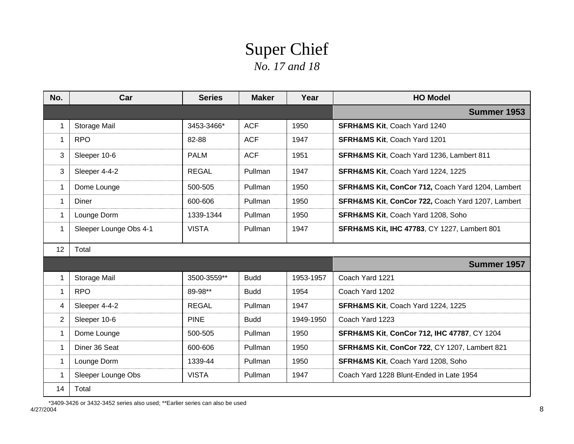## Super Chief *No. 17 and 18*

| No.          | Car                    | <b>Series</b> | <b>Maker</b> | Year      | <b>HO Model</b>                                         |
|--------------|------------------------|---------------|--------------|-----------|---------------------------------------------------------|
|              |                        |               |              |           | Summer 1953                                             |
| $\mathbf{1}$ | Storage Mail           | 3453-3466*    | <b>ACF</b>   | 1950      | <b>SFRH&amp;MS Kit, Coach Yard 1240</b>                 |
| $\mathbf{1}$ | <b>RPO</b>             | 82-88         | <b>ACF</b>   | 1947      | <b>SFRH&amp;MS Kit, Coach Yard 1201</b>                 |
| 3            | Sleeper 10-6           | <b>PALM</b>   | <b>ACF</b>   | 1951      | <b>SFRH&amp;MS Kit, Coach Yard 1236, Lambert 811</b>    |
| 3            | Sleeper 4-4-2          | <b>REGAL</b>  | Pullman      | 1947      | SFRH&MS Kit, Coach Yard 1224, 1225                      |
| $\mathbf{1}$ | Dome Lounge            | 500-505       | Pullman      | 1950      | SFRH&MS Kit, ConCor 712, Coach Yard 1204, Lambert       |
| $\mathbf 1$  | Diner                  | 600-606       | Pullman      | 1950      | SFRH&MS Kit, ConCor 722, Coach Yard 1207, Lambert       |
| $\mathbf{1}$ | Lounge Dorm            | 1339-1344     | Pullman      | 1950      | <b>SFRH&amp;MS Kit, Coach Yard 1208, Soho</b>           |
| $\mathbf{1}$ | Sleeper Lounge Obs 4-1 | <b>VISTA</b>  | Pullman      | 1947      | <b>SFRH&amp;MS Kit, IHC 47783, CY 1227, Lambert 801</b> |
| 12           | Total                  |               |              |           |                                                         |
|              |                        |               |              |           | Summer 1957                                             |
| $\mathbf{1}$ | Storage Mail           | 3500-3559**   | <b>Budd</b>  | 1953-1957 | Coach Yard 1221                                         |
| $\mathbf{1}$ | <b>RPO</b>             | 89-98**       | <b>Budd</b>  | 1954      | Coach Yard 1202                                         |
| 4            | Sleeper 4-4-2          | <b>REGAL</b>  | Pullman      | 1947      | SFRH&MS Kit, Coach Yard 1224, 1225                      |
| 2            | Sleeper 10-6           | <b>PINE</b>   | <b>Budd</b>  | 1949-1950 | Coach Yard 1223                                         |
| $\mathbf{1}$ | Dome Lounge            | 500-505       | Pullman      | 1950      | <b>SFRH&amp;MS Kit, ConCor 712, IHC 47787, CY 1204</b>  |
| 1            | Diner 36 Seat          | 600-606       | Pullman      | 1950      | SFRH&MS Kit, ConCor 722, CY 1207, Lambert 821           |
| $\mathbf{1}$ | Lounge Dorm            | 1339-44       | Pullman      | 1950      | <b>SFRH&amp;MS Kit, Coach Yard 1208, Soho</b>           |
| $\mathbf{1}$ | Sleeper Lounge Obs     | <b>VISTA</b>  | Pullman      | 1947      | Coach Yard 1228 Blunt-Ended in Late 1954                |
| 14           | Total                  |               |              |           |                                                         |

4/27/2004essential contract to the contract of the contract of the contract of the contract of the contract of the contract of the contract of the contract of the contract of the contract of the contract of the contract of the cont \*3409-3426 or 3432-3452 series also used; \*\*Earlier series can also be used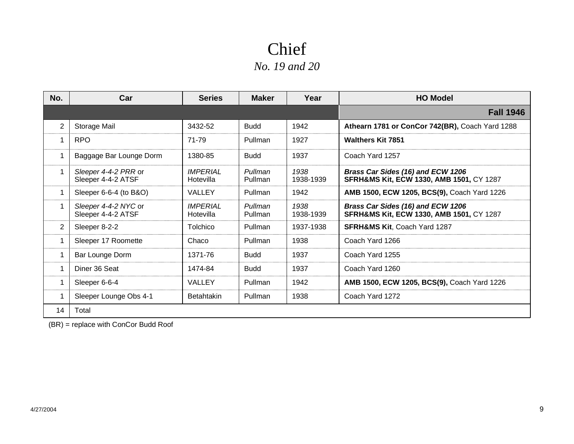| No.            | Car                                        | <b>Series</b>                       | <b>Maker</b>       | Year              | <b>HO Model</b>                                                                          |
|----------------|--------------------------------------------|-------------------------------------|--------------------|-------------------|------------------------------------------------------------------------------------------|
|                |                                            |                                     |                    |                   | <b>Fall 1946</b>                                                                         |
| 2              | Storage Mail                               | 3432-52                             | <b>Budd</b>        | 1942              | Athearn 1781 or ConCor 742(BR), Coach Yard 1288                                          |
| 1              | <b>RPO</b>                                 | 71-79                               | Pullman            | 1927              | <b>Walthers Kit 7851</b>                                                                 |
|                | Baggage Bar Lounge Dorm                    | 1380-85                             | <b>Budd</b>        | 1937              | Coach Yard 1257                                                                          |
|                | Sleeper 4-4-2 PRR or<br>Sleeper 4-4-2 ATSF | <i><b>IMPERIAL</b></i><br>Hotevilla | Pullman<br>Pullman | 1938<br>1938-1939 | Brass Car Sides (16) and ECW 1206<br><b>SFRH&amp;MS Kit, ECW 1330, AMB 1501, CY 1287</b> |
|                | Sleeper 6-6-4 (to B&O)                     | <b>VALLEY</b>                       | Pullman            | 1942              | AMB 1500, ECW 1205, BCS(9), Coach Yard 1226                                              |
|                | Sleeper 4-4-2 NYC or<br>Sleeper 4-4-2 ATSF | <b>IMPERIAL</b><br>Hotevilla        | Pullman<br>Pullman | 1938<br>1938-1939 | Brass Car Sides (16) and ECW 1206<br><b>SFRH&amp;MS Kit, ECW 1330, AMB 1501, CY 1287</b> |
| $\overline{2}$ | Sleeper 8-2-2                              | Tolchico                            | Pullman            | 1937-1938         | <b>SFRH&amp;MS Kit, Coach Yard 1287</b>                                                  |
|                | Sleeper 17 Roomette                        | Chaco                               | Pullman            | 1938              | Coach Yard 1266                                                                          |
|                | Bar Lounge Dorm                            | 1371-76                             | <b>Budd</b>        | 1937              | Coach Yard 1255                                                                          |
|                | Diner 36 Seat                              | 1474-84                             | <b>Budd</b>        | 1937              | Coach Yard 1260                                                                          |
|                | Sleeper 6-6-4                              | <b>VALLEY</b>                       | Pullman            | 1942              | AMB 1500, ECW 1205, BCS(9), Coach Yard 1226                                              |
|                | Sleeper Lounge Obs 4-1                     | <b>Betahtakin</b>                   | Pullman            | 1938              | Coach Yard 1272                                                                          |
| 14             | Total                                      |                                     |                    |                   |                                                                                          |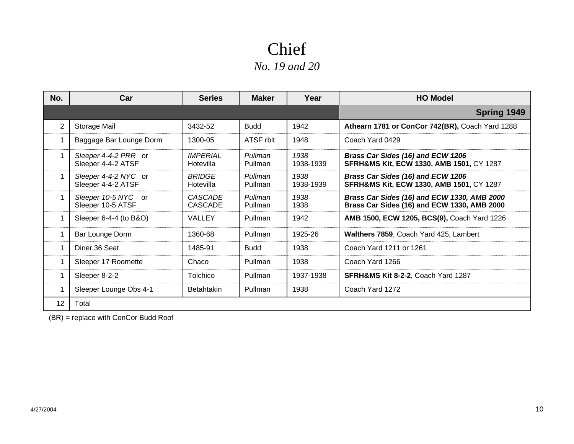| No.               | Car                                        | <b>Series</b>                       | <b>Maker</b>       | Year              | <b>HO Model</b>                                                                            |
|-------------------|--------------------------------------------|-------------------------------------|--------------------|-------------------|--------------------------------------------------------------------------------------------|
|                   |                                            |                                     |                    |                   | Spring 1949                                                                                |
| $\overline{2}$    | Storage Mail                               | 3432-52                             | <b>Budd</b>        | 1942              | Athearn 1781 or ConCor 742(BR), Coach Yard 1288                                            |
|                   | Baggage Bar Lounge Dorm                    | 1300-05                             | ATSF rblt          | 1948              | Coach Yard 0429                                                                            |
|                   | Sleeper 4-4-2 PRR or<br>Sleeper 4-4-2 ATSF | <i><b>IMPERIAL</b></i><br>Hotevilla | Pullman<br>Pullman | 1938<br>1938-1939 | Brass Car Sides (16) and ECW 1206<br><b>SFRH&amp;MS Kit, ECW 1330, AMB 1501, CY 1287</b>   |
|                   | Sleeper 4-4-2 NYC or<br>Sleeper 4-4-2 ATSF | <b>BRIDGE</b><br>Hotevilla          | Pullman<br>Pullman | 1938<br>1938-1939 | Brass Car Sides (16) and ECW 1206<br><b>SFRH&amp;MS Kit, ECW 1330, AMB 1501, CY 1287</b>   |
|                   | Sleeper 10-5 NYC or<br>Sleeper 10-5 ATSF   | CASCADE<br><b>CASCADE</b>           | Pullman<br>Pullman | 1938<br>1938      | Brass Car Sides (16) and ECW 1330, AMB 2000<br>Brass Car Sides (16) and ECW 1330, AMB 2000 |
|                   | Sleeper 6-4-4 (to B&O)                     | VALLEY                              | Pullman            | 1942              | AMB 1500, ECW 1205, BCS(9), Coach Yard 1226                                                |
|                   | Bar Lounge Dorm                            | 1360-68                             | Pullman            | 1925-26           | <b>Walthers 7859, Coach Yard 425, Lambert</b>                                              |
|                   | Diner 36 Seat                              | 1485-91                             | <b>Budd</b>        | 1938              | Coach Yard 1211 or 1261                                                                    |
|                   | Sleeper 17 Roomette                        | Chaco                               | Pullman            | 1938              | Coach Yard 1266                                                                            |
|                   | Sleeper 8-2-2                              | Tolchico                            | Pullman            | 1937-1938         | <b>SFRH&amp;MS Kit 8-2-2, Coach Yard 1287</b>                                              |
|                   | Sleeper Lounge Obs 4-1                     | <b>Betahtakin</b>                   | Pullman            | 1938              | Coach Yard 1272                                                                            |
| $12 \overline{ }$ | Total                                      |                                     |                    |                   |                                                                                            |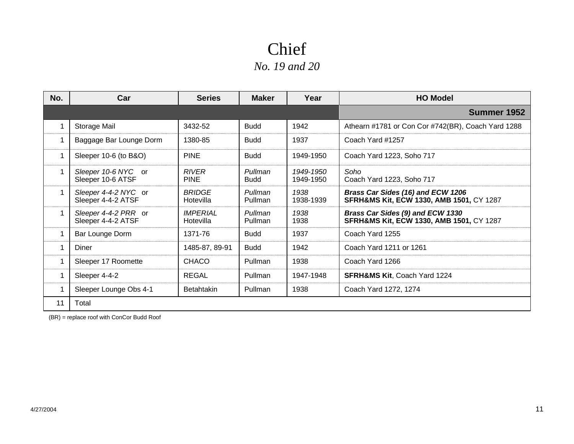| No. | Car                                        | <b>Series</b>                | <b>Maker</b>           | Year                   | <b>HO Model</b>                                                                          |
|-----|--------------------------------------------|------------------------------|------------------------|------------------------|------------------------------------------------------------------------------------------|
|     |                                            |                              |                        |                        | Summer 1952                                                                              |
|     | Storage Mail                               | 3432-52                      | <b>Budd</b>            | 1942                   | Athearn #1781 or Con Cor #742(BR), Coach Yard 1288                                       |
|     | Baggage Bar Lounge Dorm                    | 1380-85                      | <b>Budd</b>            | 1937                   | Coach Yard #1257                                                                         |
|     | Sleeper 10-6 (to B&O)                      | <b>PINE</b>                  | <b>Budd</b>            | 1949-1950              | Coach Yard 1223, Soho 717                                                                |
|     | Sleeper 10-6 NYC or<br>Sleeper 10-6 ATSF   | <b>RIVER</b><br><b>PINE</b>  | Pullman<br><b>Budd</b> | 1949-1950<br>1949-1950 | Soho<br>Coach Yard 1223, Soho 717                                                        |
|     | Sleeper 4-4-2 NYC or<br>Sleeper 4-4-2 ATSF | <b>BRIDGE</b><br>Hotevilla   | Pullman<br>Pullman     | 1938<br>1938-1939      | Brass Car Sides (16) and ECW 1206<br><b>SFRH&amp;MS Kit, ECW 1330, AMB 1501, CY 1287</b> |
|     | Sleeper 4-4-2 PRR or<br>Sleeper 4-4-2 ATSF | <b>IMPERIAL</b><br>Hotevilla | Pullman<br>Pullman     | 1938<br>1938           | Brass Car Sides (9) and ECW 1330<br><b>SFRH&amp;MS Kit, ECW 1330, AMB 1501, CY 1287</b>  |
|     | Bar Lounge Dorm                            | 1371-76                      | <b>Budd</b>            | 1937                   | Coach Yard 1255                                                                          |
|     | Diner                                      | 1485-87, 89-91               | <b>Budd</b>            | 1942                   | Coach Yard 1211 or 1261                                                                  |
|     | Sleeper 17 Roomette                        | CHACO                        | Pullman                | 1938                   | Coach Yard 1266                                                                          |
|     | Sleeper 4-4-2                              | <b>REGAL</b>                 | Pullman                | 1947-1948              | <b>SFRH&amp;MS Kit.</b> Coach Yard 1224                                                  |
|     | Sleeper Lounge Obs 4-1                     | <b>Betahtakin</b>            | Pullman                | 1938                   | Coach Yard 1272, 1274                                                                    |
| 11  | Total                                      |                              |                        |                        |                                                                                          |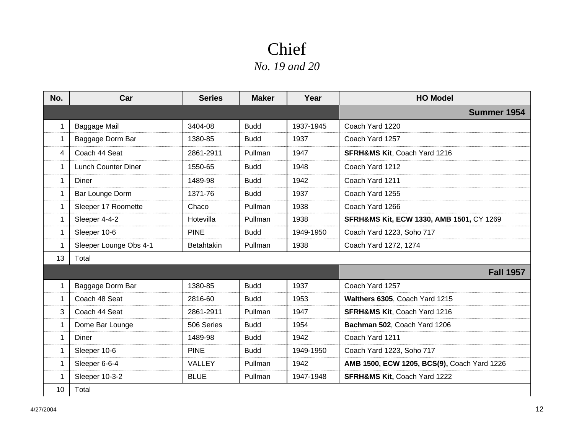| No.         | Car                    | <b>Series</b>     | <b>Maker</b> | Year      | <b>HO Model</b>                             |
|-------------|------------------------|-------------------|--------------|-----------|---------------------------------------------|
|             |                        |                   |              |           | Summer 1954                                 |
| 1           | Baggage Mail           | 3404-08           | <b>Budd</b>  | 1937-1945 | Coach Yard 1220                             |
| $\mathbf 1$ | Baggage Dorm Bar       | 1380-85           | <b>Budd</b>  | 1937      | Coach Yard 1257                             |
| 4           | Coach 44 Seat          | 2861-2911         | Pullman      | 1947      | <b>SFRH&amp;MS Kit, Coach Yard 1216</b>     |
| 1           | Lunch Counter Diner    | 1550-65           | <b>Budd</b>  | 1948      | Coach Yard 1212                             |
| 1           | Diner                  | 1489-98           | <b>Budd</b>  | 1942      | Coach Yard 1211                             |
| 1           | Bar Lounge Dorm        | 1371-76           | <b>Budd</b>  | 1937      | Coach Yard 1255                             |
| 1           | Sleeper 17 Roomette    | Chaco             | Pullman      | 1938      | Coach Yard 1266                             |
| 1           | Sleeper 4-4-2          | Hotevilla         | Pullman      | 1938      | SFRH&MS Kit, ECW 1330, AMB 1501, CY 1269    |
| $\mathbf 1$ | Sleeper 10-6           | <b>PINE</b>       | <b>Budd</b>  | 1949-1950 | Coach Yard 1223, Soho 717                   |
| 1           | Sleeper Lounge Obs 4-1 | <b>Betahtakin</b> | Pullman      | 1938      | Coach Yard 1272, 1274                       |
| 13          | Total                  |                   |              |           |                                             |
|             |                        |                   |              |           | <b>Fall 1957</b>                            |
|             | Baggage Dorm Bar       | 1380-85           | <b>Budd</b>  | 1937      | Coach Yard 1257                             |
| 1           | Coach 48 Seat          | 2816-60           | <b>Budd</b>  | 1953      | Walthers 6305, Coach Yard 1215              |
| 3           | Coach 44 Seat          | 2861-2911         | Pullman      | 1947      | <b>SFRH&amp;MS Kit, Coach Yard 1216</b>     |
| 1           | Dome Bar Lounge        | 506 Series        | <b>Budd</b>  | 1954      | Bachman 502, Coach Yard 1206                |
| $\mathbf 1$ | <b>Diner</b>           | 1489-98           | <b>Budd</b>  | 1942      | Coach Yard 1211                             |
| 1           | Sleeper 10-6           | <b>PINE</b>       | <b>Budd</b>  | 1949-1950 | Coach Yard 1223, Soho 717                   |
| 1           | Sleeper 6-6-4          | VALLEY            | Pullman      | 1942      | AMB 1500, ECW 1205, BCS(9), Coach Yard 1226 |
| 1           | Sleeper 10-3-2         | <b>BLUE</b>       | Pullman      | 1947-1948 | <b>SFRH&amp;MS Kit, Coach Yard 1222</b>     |
| 10          | Total                  |                   |              |           |                                             |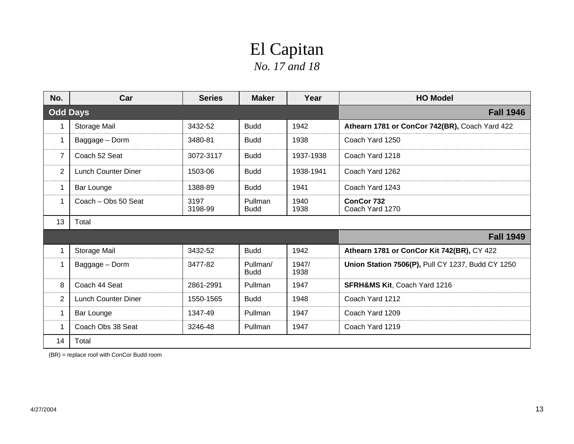### El Capitan *No. 17 and 18*

| No.            | Car                        | <b>Series</b>   | <b>Maker</b>            | Year          | <b>HO Model</b>                                   |
|----------------|----------------------------|-----------------|-------------------------|---------------|---------------------------------------------------|
|                | <b>Odd Days</b>            |                 |                         |               | <b>Fall 1946</b>                                  |
|                | Storage Mail               | 3432-52         | <b>Budd</b>             | 1942          | Athearn 1781 or ConCor 742(BR), Coach Yard 422    |
| 1.             | Baggage - Dorm             | 3480-81         | <b>Budd</b>             | 1938          | Coach Yard 1250                                   |
| 7              | Coach 52 Seat              | 3072-3117       | <b>Budd</b>             | 1937-1938     | Coach Yard 1218                                   |
| $\overline{2}$ | Lunch Counter Diner        | 1503-06         | <b>Budd</b>             | 1938-1941     | Coach Yard 1262                                   |
| 1              | <b>Bar Lounge</b>          | 1388-89         | <b>Budd</b>             | 1941          | Coach Yard 1243                                   |
| 1              | Coach - Obs 50 Seat        | 3197<br>3198-99 | Pullman<br><b>Budd</b>  | 1940<br>1938  | ConCor 732<br>Coach Yard 1270                     |
| 13             | Total                      |                 |                         |               |                                                   |
|                |                            |                 |                         |               | <b>Fall 1949</b>                                  |
|                | Storage Mail               | 3432-52         | <b>Budd</b>             | 1942          | Athearn 1781 or ConCor Kit 742(BR), CY 422        |
|                | Baggage - Dorm             | 3477-82         | Pullman/<br><b>Budd</b> | 1947/<br>1938 | Union Station 7506(P), Pull CY 1237, Budd CY 1250 |
| 8              | Coach 44 Seat              | 2861-2991       | Pullman                 | 1947          | <b>SFRH&amp;MS Kit, Coach Yard 1216</b>           |
| 2              | <b>Lunch Counter Diner</b> | 1550-1565       | <b>Budd</b>             | 1948          | Coach Yard 1212                                   |
| 1              | Bar Lounge                 | 1347-49         | Pullman                 | 1947          | Coach Yard 1209                                   |
| 1              | Coach Obs 38 Seat          | 3246-48         | Pullman                 | 1947          | Coach Yard 1219                                   |
| 14             | Total                      |                 |                         |               |                                                   |

(BR) = replace roof with ConCor Budd room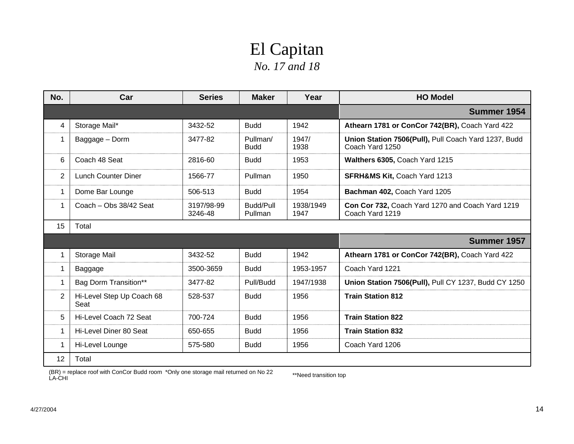## El Capitan *No. 17 and 18*

| No.            | Car                               | <b>Series</b>         | <b>Maker</b>            | Year              | <b>HO Model</b>                                                         |
|----------------|-----------------------------------|-----------------------|-------------------------|-------------------|-------------------------------------------------------------------------|
|                |                                   |                       |                         |                   | Summer 1954                                                             |
| 4              | Storage Mail*                     | 3432-52               | <b>Budd</b>             | 1942              | Athearn 1781 or ConCor 742(BR), Coach Yard 422                          |
| 1              | Baggage - Dorm                    | 3477-82               | Pullman/<br><b>Budd</b> | 1947/<br>1938     | Union Station 7506(Pull), Pull Coach Yard 1237, Budd<br>Coach Yard 1250 |
| 6              | Coach 48 Seat                     | 2816-60               | <b>Budd</b>             | 1953              | Walthers 6305, Coach Yard 1215                                          |
| 2              | <b>Lunch Counter Diner</b>        | 1566-77               | Pullman                 | 1950              | <b>SFRH&amp;MS Kit, Coach Yard 1213</b>                                 |
| 1              | Dome Bar Lounge                   | 506-513               | <b>Budd</b>             | 1954              | Bachman 402, Coach Yard 1205                                            |
| 1              | Coach - Obs 38/42 Seat            | 3197/98-99<br>3246-48 | Budd/Pull<br>Pullman    | 1938/1949<br>1947 | Con Cor 732, Coach Yard 1270 and Coach Yard 1219<br>Coach Yard 1219     |
| 15             | Total                             |                       |                         |                   |                                                                         |
|                |                                   |                       |                         |                   | Summer 1957                                                             |
|                | Storage Mail                      | 3432-52               | <b>Budd</b>             | 1942              | Athearn 1781 or ConCor 742(BR), Coach Yard 422                          |
| 1              | Baggage                           | 3500-3659             | <b>Budd</b>             | 1953-1957         | Coach Yard 1221                                                         |
|                | Bag Dorm Transition**             | 3477-82               | Pull/Budd               | 1947/1938         | Union Station 7506(Pull), Pull CY 1237, Budd CY 1250                    |
| $\overline{2}$ | Hi-Level Step Up Coach 68<br>Seat | 528-537               | <b>Budd</b>             | 1956              | <b>Train Station 812</b>                                                |
| 5              | Hi-Level Coach 72 Seat            | 700-724               | <b>Budd</b>             | 1956              | <b>Train Station 822</b>                                                |
| 1              | Hi-Level Diner 80 Seat            | 650-655               | <b>Budd</b>             | 1956              | <b>Train Station 832</b>                                                |
|                | Hi-Level Lounge                   | 575-580               | <b>Budd</b>             | 1956              | Coach Yard 1206                                                         |
| 12             | Total                             |                       |                         |                   |                                                                         |

(BR) = replace roof with ConCor Budd room \*Only one storage mail returned on No 22  $\hspace{1cm}$  \*\*Need transition top<br>LA-CHI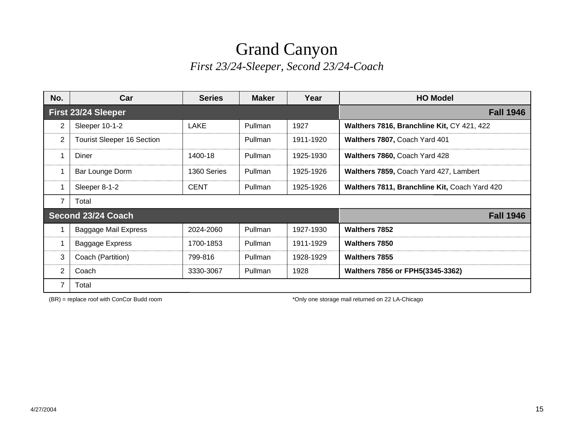#### Grand Canyon *First 23/24-Sleeper, Second 23/24-Coach*

| No.                 | Car                               | <b>Series</b> | <b>Maker</b>   | Year      | <b>HO Model</b>                               |
|---------------------|-----------------------------------|---------------|----------------|-----------|-----------------------------------------------|
| First 23/24 Sleeper |                                   |               |                |           | <b>Fall 1946</b>                              |
| 2                   | Sleeper 10-1-2                    | LAKE          | <b>Pullman</b> | 1927      | Walthers 7816, Branchline Kit, CY 421, 422    |
| 2                   | <b>Tourist Sleeper 16 Section</b> |               | Pullman        | 1911-1920 | Walthers 7807, Coach Yard 401                 |
|                     | Diner                             | 1400-18       | Pullman        | 1925-1930 | Walthers 7860, Coach Yard 428                 |
|                     | Bar Lounge Dorm                   | 1360 Series   | Pullman        | 1925-1926 | Walthers 7859, Coach Yard 427, Lambert        |
|                     | Sleeper 8-1-2                     | <b>CENT</b>   | Pullman        | 1925-1926 | Walthers 7811, Branchline Kit, Coach Yard 420 |
| 7                   | Total                             |               |                |           |                                               |
|                     | Second 23/24 Coach                |               |                |           | <b>Fall 1946</b>                              |
|                     | Baggage Mail Express              | 2024-2060     | Pullman        | 1927-1930 | <b>Walthers 7852</b>                          |
|                     | Baggage Express                   | 1700-1853     | Pullman        | 1911-1929 | <b>Walthers 7850</b>                          |
| 3                   | Coach (Partition)                 | 799-816       | Pullman        | 1928-1929 | <b>Walthers 7855</b>                          |
| 2                   | Coach                             | 3330-3067     | Pullman        | 1928      | Walthers 7856 or FPH5(3345-3362)              |
|                     | Total                             |               |                |           |                                               |

(BR) = replace roof with ConCor Budd room \* The storage mail returned on 22 LA-Chicago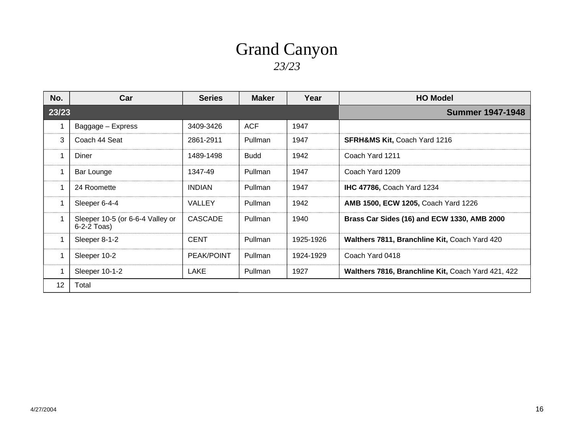#### Grand Canyon *23/23*

| No.   | Car                                               | <b>Series</b>     | <b>Maker</b>            | Year      | <b>HO Model</b>                                    |
|-------|---------------------------------------------------|-------------------|-------------------------|-----------|----------------------------------------------------|
| 23/23 |                                                   |                   | <b>Summer 1947-1948</b> |           |                                                    |
|       | Baggage - Express                                 | 3409-3426         | <b>ACF</b>              | 1947      |                                                    |
| 3     | Coach 44 Seat                                     | 2861-2911         | Pullman                 | 1947      | <b>SFRH&amp;MS Kit, Coach Yard 1216</b>            |
|       | Diner                                             | 1489-1498         | <b>Budd</b>             | 1942      | Coach Yard 1211                                    |
|       | Bar Lounge                                        | 1347-49           | Pullman                 | 1947      | Coach Yard 1209                                    |
|       | 24 Roomette                                       | <b>INDIAN</b>     | Pullman                 | 1947      | <b>IHC 47786, Coach Yard 1234</b>                  |
|       | Sleeper 6-4-4                                     | VALLEY            | Pullman                 | 1942      | <b>AMB 1500, ECW 1205, Coach Yard 1226</b>         |
|       | Sleeper 10-5 (or 6-6-4 Valley or<br>$6-2-2$ Toas) | CASCADE           | Pullman                 | 1940      | Brass Car Sides (16) and ECW 1330, AMB 2000        |
|       | Sleeper 8-1-2                                     | <b>CENT</b>       | Pullman                 | 1925-1926 | Walthers 7811, Branchline Kit, Coach Yard 420      |
|       | Sleeper 10-2                                      | <b>PEAK/POINT</b> | Pullman                 | 1924-1929 | Coach Yard 0418                                    |
|       | Sleeper 10-1-2                                    | LAKE              | Pullman                 | 1927      | Walthers 7816, Branchline Kit, Coach Yard 421, 422 |
| 12    | Total                                             |                   |                         |           |                                                    |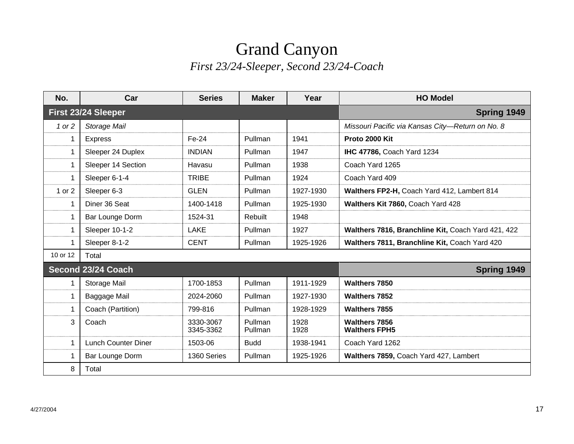#### Grand Canyon *First 23/24-Sleeper, Second 23/24-Coach*

| No.                 | Car                        | <b>Series</b>          | <b>Maker</b>       | Year         | <b>HO Model</b>                                    |  |
|---------------------|----------------------------|------------------------|--------------------|--------------|----------------------------------------------------|--|
| First 23/24 Sleeper |                            |                        | Spring 1949        |              |                                                    |  |
| 1 or 2              | Storage Mail               |                        |                    |              | Missouri Pacific via Kansas City-Return on No. 8   |  |
|                     | <b>Express</b>             | Fe-24                  | Pullman            | 1941         | Proto 2000 Kit                                     |  |
| 1                   | Sleeper 24 Duplex          | <b>INDIAN</b>          | Pullman            | 1947         | <b>IHC 47786, Coach Yard 1234</b>                  |  |
| 1                   | Sleeper 14 Section         | Havasu                 | Pullman            | 1938         | Coach Yard 1265                                    |  |
| 1                   | Sleeper 6-1-4              | <b>TRIBE</b>           | Pullman            | 1924         | Coach Yard 409                                     |  |
| 1 or 2              | Sleeper 6-3                | <b>GLEN</b>            | Pullman            | 1927-1930    | Walthers FP2-H, Coach Yard 412, Lambert 814        |  |
| 1                   | Diner 36 Seat              | 1400-1418              | Pullman            | 1925-1930    | Walthers Kit 7860, Coach Yard 428                  |  |
| 1                   | Bar Lounge Dorm            | 1524-31                | Rebuilt            | 1948         |                                                    |  |
| 1                   | Sleeper 10-1-2             | <b>LAKE</b>            | Pullman            | 1927         | Walthers 7816, Branchline Kit, Coach Yard 421, 422 |  |
|                     | Sleeper 8-1-2              | <b>CENT</b>            | Pullman            | 1925-1926    | Walthers 7811, Branchline Kit, Coach Yard 420      |  |
| 10 or 12            | Total                      |                        |                    |              |                                                    |  |
|                     | Second 23/24 Coach         |                        |                    |              | Spring 1949                                        |  |
|                     | Storage Mail               | 1700-1853              | Pullman            | 1911-1929    | <b>Walthers 7850</b>                               |  |
| 1                   | Baggage Mail               | 2024-2060              | Pullman            | 1927-1930    | <b>Walthers 7852</b>                               |  |
| 1                   | Coach (Partition)          | 799-816                | Pullman            | 1928-1929    | <b>Walthers 7855</b>                               |  |
| 3                   | Coach                      | 3330-3067<br>3345-3362 | Pullman<br>Pullman | 1928<br>1928 | <b>Walthers 7856</b><br><b>Walthers FPH5</b>       |  |
| 1                   | <b>Lunch Counter Diner</b> | 1503-06                | <b>Budd</b>        | 1938-1941    | Coach Yard 1262                                    |  |
| 1                   | Bar Lounge Dorm            | 1360 Series            | Pullman            | 1925-1926    | Walthers 7859, Coach Yard 427, Lambert             |  |
| 8                   | Total                      |                        |                    |              |                                                    |  |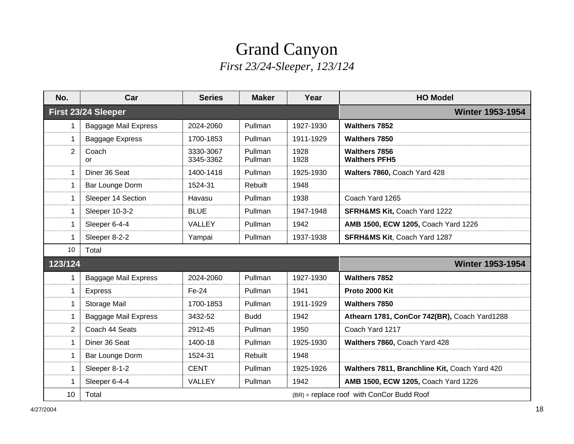## Grand Canyon *First 23/24-Sleeper, 123/124*

| No.                 | Car                                                | <b>Series</b>          | <b>Maker</b>       | Year         | <b>HO Model</b>                               |  |
|---------------------|----------------------------------------------------|------------------------|--------------------|--------------|-----------------------------------------------|--|
| First 23/24 Sleeper |                                                    |                        |                    |              | <b>Winter 1953-1954</b>                       |  |
| 1                   | <b>Baggage Mail Express</b>                        | 2024-2060              | Pullman            | 1927-1930    | <b>Walthers 7852</b>                          |  |
| 1                   | <b>Baggage Express</b>                             | 1700-1853              | Pullman            | 1911-1929    | <b>Walthers 7850</b>                          |  |
| 2                   | Coach<br>or                                        | 3330-3067<br>3345-3362 | Pullman<br>Pullman | 1928<br>1928 | <b>Walthers 7856</b><br><b>Walthers PFH5</b>  |  |
| 1                   | Diner 36 Seat                                      | 1400-1418              | Pullman            | 1925-1930    | Walters 7860, Coach Yard 428                  |  |
| 1                   | Bar Lounge Dorm                                    | 1524-31                | Rebuilt            | 1948         |                                               |  |
| 1                   | Sleeper 14 Section                                 | Havasu                 | Pullman            | 1938         | Coach Yard 1265                               |  |
| 1                   | Sleeper 10-3-2                                     | <b>BLUE</b>            | Pullman            | 1947-1948    | <b>SFRH&amp;MS Kit, Coach Yard 1222</b>       |  |
| 1                   | Sleeper 6-4-4                                      | <b>VALLEY</b>          | Pullman            | 1942         | AMB 1500, ECW 1205, Coach Yard 1226           |  |
| 1                   | Sleeper 8-2-2                                      | Yampai                 | Pullman            | 1937-1938    | <b>SFRH&amp;MS Kit, Coach Yard 1287</b>       |  |
| 10                  | Total                                              |                        |                    |              |                                               |  |
| 123/124             |                                                    |                        |                    |              | <b>Winter 1953-1954</b>                       |  |
| 1                   | <b>Baggage Mail Express</b>                        | 2024-2060              | Pullman            | 1927-1930    | <b>Walthers 7852</b>                          |  |
| 1                   | <b>Express</b>                                     | Fe-24                  | Pullman            | 1941         | Proto 2000 Kit                                |  |
| 1                   | Storage Mail                                       | 1700-1853              | Pullman            | 1911-1929    | <b>Walthers 7850</b>                          |  |
| 1                   | <b>Baggage Mail Express</b>                        | 3432-52                | <b>Budd</b>        | 1942         | Athearn 1781, ConCor 742(BR), Coach Yard1288  |  |
| 2                   | Coach 44 Seats                                     | 2912-45                | Pullman            | 1950         | Coach Yard 1217                               |  |
| 1                   | Diner 36 Seat                                      | 1400-18                | Pullman            | 1925-1930    | Walthers 7860, Coach Yard 428                 |  |
| 1                   | Bar Lounge Dorm                                    | 1524-31                | Rebuilt            | 1948         |                                               |  |
| 1                   | Sleeper 8-1-2                                      | <b>CENT</b>            | Pullman            | 1925-1926    | Walthers 7811, Branchline Kit, Coach Yard 420 |  |
| 1                   | Sleeper 6-4-4                                      | VALLEY                 | Pullman            | 1942         | AMB 1500, ECW 1205, Coach Yard 1226           |  |
| 10                  | Total<br>(BR) = replace roof with ConCor Budd Roof |                        |                    |              |                                               |  |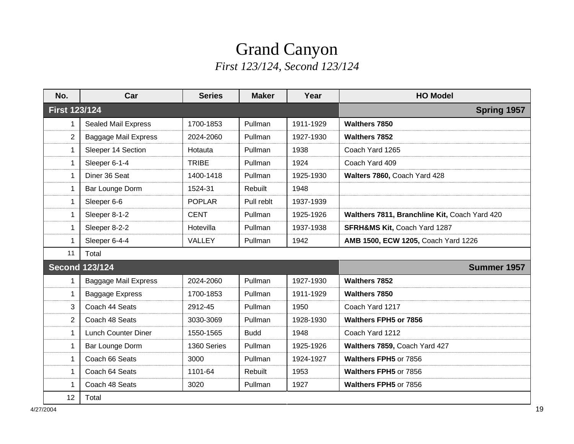## Grand Canyon *First 123/124, Second 123/124*

| No.                  | Car                         | <b>Series</b> | <b>Maker</b> | Year        | <b>HO Model</b>                               |
|----------------------|-----------------------------|---------------|--------------|-------------|-----------------------------------------------|
| <b>First 123/124</b> |                             |               |              | Spring 1957 |                                               |
| 1                    | <b>Sealed Mail Express</b>  | 1700-1853     | Pullman      | 1911-1929   | Walthers 7850                                 |
| 2                    | Baggage Mail Express        | 2024-2060     | Pullman      | 1927-1930   | <b>Walthers 7852</b>                          |
| 1                    | Sleeper 14 Section          | Hotauta       | Pullman      | 1938        | Coach Yard 1265                               |
| 1                    | Sleeper 6-1-4               | <b>TRIBE</b>  | Pullman      | 1924        | Coach Yard 409                                |
| 1                    | Diner 36 Seat               | 1400-1418     | Pullman      | 1925-1930   | Walters 7860, Coach Yard 428                  |
| 1                    | Bar Lounge Dorm             | 1524-31       | Rebuilt      | 1948        |                                               |
| 1                    | Sleeper 6-6                 | <b>POPLAR</b> | Pull reblt   | 1937-1939   |                                               |
| 1                    | Sleeper 8-1-2               | <b>CENT</b>   | Pullman      | 1925-1926   | Walthers 7811, Branchline Kit, Coach Yard 420 |
| 1                    | Sleeper 8-2-2               | Hotevilla     | Pullman      | 1937-1938   | <b>SFRH&amp;MS Kit, Coach Yard 1287</b>       |
| 1                    | Sleeper 6-4-4               | VALLEY        | Pullman      | 1942        | AMB 1500, ECW 1205, Coach Yard 1226           |
| 11                   | Total                       |               |              |             |                                               |
|                      | <b>Second 123/124</b>       |               |              |             | Summer 1957                                   |
| 1                    | <b>Baggage Mail Express</b> | 2024-2060     | Pullman      | 1927-1930   | <b>Walthers 7852</b>                          |
| 1                    | Baggage Express             | 1700-1853     | Pullman      | 1911-1929   | <b>Walthers 7850</b>                          |
| 3                    | Coach 44 Seats              | 2912-45       | Pullman      | 1950        | Coach Yard 1217                               |
| 2                    | Coach 48 Seats              | 3030-3069     | Pullman      | 1928-1930   | <b>Walthers FPH5 or 7856</b>                  |
| 1                    | Lunch Counter Diner         | 1550-1565     | <b>Budd</b>  | 1948        | Coach Yard 1212                               |
| 1                    | Bar Lounge Dorm             | 1360 Series   | Pullman      | 1925-1926   | Walthers 7859, Coach Yard 427                 |
| 1                    | Coach 66 Seats              | 3000          | Pullman      | 1924-1927   | Walthers FPH5 or 7856                         |
| 1                    | Coach 64 Seats              | 1101-64       | Rebuilt      | 1953        | <b>Walthers FPH5 or 7856</b>                  |
| 1                    | Coach 48 Seats              | 3020          | Pullman      | 1927        | Walthers FPH5 or 7856                         |
| 12                   | Total                       |               |              |             |                                               |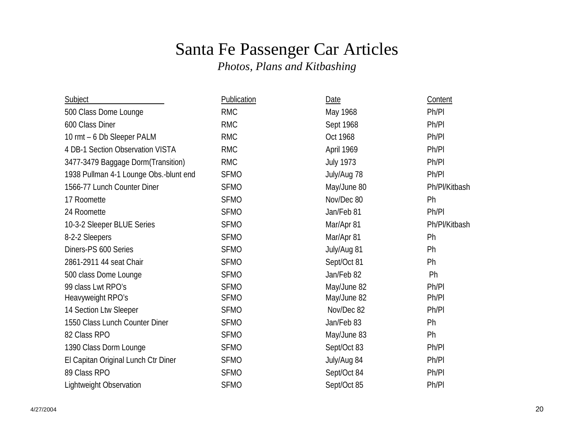# Santa Fe Passenger Car Articles

*Photos, Plans and Kitbashing*

| Subject                                | <b>Publication</b> | Date             | Content       |
|----------------------------------------|--------------------|------------------|---------------|
| 500 Class Dome Lounge                  | <b>RMC</b>         | May 1968         | Ph/Pl         |
| 600 Class Diner                        | <b>RMC</b>         | Sept 1968        | Ph/Pl         |
| 10 rmt - 6 Db Sleeper PALM             | <b>RMC</b>         | Oct 1968         | Ph/Pl         |
| 4 DB-1 Section Observation VISTA       | <b>RMC</b>         | April 1969       | Ph/Pl         |
| 3477-3479 Baggage Dorm (Transition)    | <b>RMC</b>         | <b>July 1973</b> | Ph/Pl         |
| 1938 Pullman 4-1 Lounge Obs.-blunt end | <b>SFMO</b>        | July/Aug 78      | Ph/Pl         |
| 1566-77 Lunch Counter Diner            | <b>SFMO</b>        | May/June 80      | Ph/Pl/Kitbash |
| 17 Roomette                            | <b>SFMO</b>        | Nov/Dec 80       | Ph            |
| 24 Roomette                            | <b>SFMO</b>        | Jan/Feb 81       | Ph/Pl         |
| 10-3-2 Sleeper BLUE Series             | <b>SFMO</b>        | Mar/Apr 81       | Ph/Pl/Kitbash |
| 8-2-2 Sleepers                         | <b>SFMO</b>        | Mar/Apr 81       | Ph            |
| Diners-PS 600 Series                   | <b>SFMO</b>        | July/Aug 81      | Ph            |
| 2861-2911 44 seat Chair                | <b>SFMO</b>        | Sept/Oct 81      | Ph            |
| 500 class Dome Lounge                  | <b>SFMO</b>        | Jan/Feb 82       | Ph            |
| 99 class Lwt RPO's                     | <b>SFMO</b>        | May/June 82      | Ph/Pl         |
| Heavyweight RPO's                      | <b>SFMO</b>        | May/June 82      | Ph/Pl         |
| 14 Section Ltw Sleeper                 | <b>SFMO</b>        | Nov/Dec 82       | Ph/Pl         |
| 1550 Class Lunch Counter Diner         | <b>SFMO</b>        | Jan/Feb 83       | Ph            |
| 82 Class RPO                           | <b>SFMO</b>        | May/June 83      | Ph            |
| 1390 Class Dorm Lounge                 | <b>SFMO</b>        | Sept/Oct 83      | Ph/Pl         |
| El Capitan Original Lunch Ctr Diner    | <b>SFMO</b>        | July/Aug 84      | Ph/Pl         |
| 89 Class RPO                           | <b>SFMO</b>        | Sept/Oct 84      | Ph/Pl         |
| <b>Lightweight Observation</b>         | <b>SFMO</b>        | Sept/Oct 85      | Ph/Pl         |